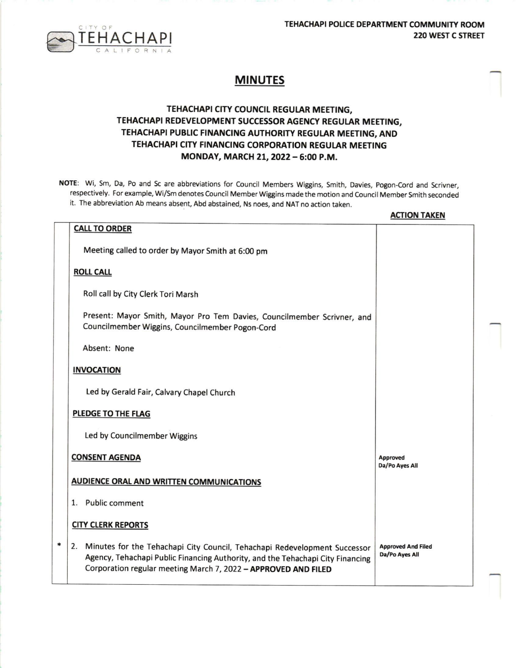TEHACHAPI POLICE DEPARTMENT COMMUNITY ROOM  $T \in H \cap A \subset H \cap P$  220 WEST C STREET



## MINUTES

## TEHACHAPI CITY COUNCIL REGULAR MEETING, TEHACHAPI REDEVELOPMENT SUCCESSOR AGENCY REGULAR MEETING, TEHACHAPI PUBLIC FINANCING AUTHORITY REGULAR MEETING, AND TEHACHAPI CITY FINANCING CORPORATION REGULAR MEETING MONDAY, MARCH 21, 2022 - 6:00 P.M.

NOTE: Wi, Sm, Da, Po and Sc are abbreviations for Council Members Wiggins, Smith, Davies, Pogon-Cord and Scrivner, respectively. For example, Wi/Sm denotes Council Member Wiggins made the motion and Council Member Smith seconded it. The abbreviation Ab means absent, Abd abstained, Ns noes, and NAT no action taken.

|   |                                                                                                                                                                                                                                  | <b>ACTION TAKEN</b>                         |  |
|---|----------------------------------------------------------------------------------------------------------------------------------------------------------------------------------------------------------------------------------|---------------------------------------------|--|
|   | <b>CALL TO ORDER</b>                                                                                                                                                                                                             |                                             |  |
|   | Meeting called to order by Mayor Smith at 6:00 pm                                                                                                                                                                                |                                             |  |
|   | <b>ROLL CALL</b>                                                                                                                                                                                                                 |                                             |  |
|   | Roll call by City Clerk Tori Marsh                                                                                                                                                                                               |                                             |  |
|   | Present: Mayor Smith, Mayor Pro Tem Davies, Councilmember Scrivner, and<br>Councilmember Wiggins, Councilmember Pogon-Cord                                                                                                       |                                             |  |
|   | Absent: None                                                                                                                                                                                                                     |                                             |  |
|   | <b>INVOCATION</b>                                                                                                                                                                                                                |                                             |  |
|   | Led by Gerald Fair, Calvary Chapel Church                                                                                                                                                                                        |                                             |  |
|   | PLEDGE TO THE FLAG                                                                                                                                                                                                               |                                             |  |
|   | Led by Councilmember Wiggins                                                                                                                                                                                                     |                                             |  |
|   | <b>CONSENT AGENDA</b>                                                                                                                                                                                                            | Approved<br>Da/Po Ayes All                  |  |
|   | <b>AUDIENCE ORAL AND WRITTEN COMMUNICATIONS</b>                                                                                                                                                                                  |                                             |  |
|   | 1. Public comment                                                                                                                                                                                                                |                                             |  |
|   | <b>CITY CLERK REPORTS</b>                                                                                                                                                                                                        |                                             |  |
| * | 2. Minutes for the Tehachapi City Council, Tehachapi Redevelopment Successor<br>Agency, Tehachapi Public Financing Authority, and the Tehachapi City Financing<br>Corporation regular meeting March 7, 2022 - APPROVED AND FILED | <b>Approved And Filed</b><br>Da/Po Ayes All |  |
|   |                                                                                                                                                                                                                                  |                                             |  |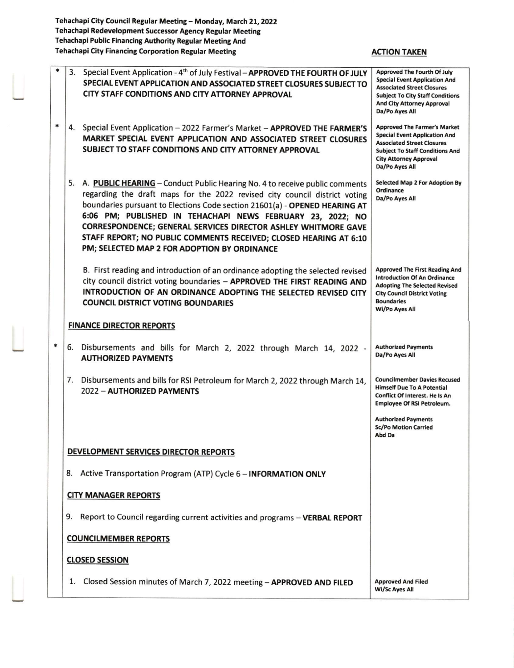Tehachapi City Council Regular Meeting— Monday, March 21, 2022 Tehachapi Redevelopment Successor Agency Regular Meeting Tehachapi Public Financing Authority Regular Meeting And Tehachapi City Financing Corporation Regular Meeting Manuscular ACTION TAKEN

| * |    | 3. Special Event Application - 4 <sup>th</sup> of July Festival - APPROVED THE FOURTH OF JULY<br>SPECIAL EVENT APPLICATION AND ASSOCIATED STREET CLOSURES SUBJECT TO<br>CITY STAFF CONDITIONS AND CITY ATTORNEY APPROVAL                                                                                                                                                                                                                                                                     | <b>Approved The Fourth Of July</b><br><b>Special Event Application And</b><br><b>Associated Street Closures</b><br><b>Subject To City Staff Conditions</b><br><b>And City Attorney Approval</b><br>Da/Po Ayes All |
|---|----|----------------------------------------------------------------------------------------------------------------------------------------------------------------------------------------------------------------------------------------------------------------------------------------------------------------------------------------------------------------------------------------------------------------------------------------------------------------------------------------------|-------------------------------------------------------------------------------------------------------------------------------------------------------------------------------------------------------------------|
| * |    | 4. Special Event Application - 2022 Farmer's Market - APPROVED THE FARMER'S<br>MARKET SPECIAL EVENT APPLICATION AND ASSOCIATED STREET CLOSURES<br>SUBJECT TO STAFF CONDITIONS AND CITY ATTORNEY APPROVAL                                                                                                                                                                                                                                                                                     | <b>Approved The Farmer's Market</b><br><b>Special Event Application And</b><br><b>Associated Street Closures</b><br><b>Subject To Staff Conditions And</b><br><b>City Attorney Approval</b><br>Da/Po Ayes All     |
|   | 5. | A. PUBLIC HEARING - Conduct Public Hearing No. 4 to receive public comments<br>regarding the draft maps for the 2022 revised city council district voting<br>boundaries pursuant to Elections Code section 21601(a) - OPENED HEARING AT<br>6:06 PM; PUBLISHED IN TEHACHAPI NEWS FEBRUARY 23, 2022; NO<br>CORRESPONDENCE; GENERAL SERVICES DIRECTOR ASHLEY WHITMORE GAVE<br>STAFF REPORT; NO PUBLIC COMMENTS RECEIVED; CLOSED HEARING AT 6:10<br>PM; SELECTED MAP 2 FOR ADOPTION BY ORDINANCE | <b>Selected Map 2 For Adoption By</b><br>Ordinance<br>Da/Po Ayes All                                                                                                                                              |
|   |    | B. First reading and introduction of an ordinance adopting the selected revised<br>city council district voting boundaries - APPROVED THE FIRST READING AND<br>INTRODUCTION OF AN ORDINANCE ADOPTING THE SELECTED REVISED CITY<br><b>COUNCIL DISTRICT VOTING BOUNDARIES</b>                                                                                                                                                                                                                  | <b>Approved The First Reading And</b><br><b>Introduction Of An Ordinance</b><br><b>Adopting The Selected Revised</b><br><b>City Council District Voting</b><br><b>Boundaries</b><br>Wi/Po Ayes All                |
|   |    | <b>FINANCE DIRECTOR REPORTS</b>                                                                                                                                                                                                                                                                                                                                                                                                                                                              |                                                                                                                                                                                                                   |
| * | 6. | Disbursements and bills for March 2, 2022 through March 14, 2022 -<br><b>AUTHORIZED PAYMENTS</b>                                                                                                                                                                                                                                                                                                                                                                                             | <b>Authorized Payments</b><br>Da/Po Ayes All                                                                                                                                                                      |
|   | 7. | Disbursements and bills for RSI Petroleum for March 2, 2022 through March 14,<br>2022 - AUTHORIZED PAYMENTS                                                                                                                                                                                                                                                                                                                                                                                  | <b>Councilmember Davies Recused</b><br><b>Himself Due To A Potential</b><br>Conflict Of Interest. He Is An<br><b>Employee Of RSI Petroleum.</b>                                                                   |
|   |    |                                                                                                                                                                                                                                                                                                                                                                                                                                                                                              | <b>Authorized Payments</b><br><b>Sc/Po Motion Carried</b><br>Abd Da                                                                                                                                               |
|   |    | DEVELOPMENT SERVICES DIRECTOR REPORTS                                                                                                                                                                                                                                                                                                                                                                                                                                                        |                                                                                                                                                                                                                   |
|   |    | 8. Active Transportation Program (ATP) Cycle 6 - INFORMATION ONLY                                                                                                                                                                                                                                                                                                                                                                                                                            |                                                                                                                                                                                                                   |
|   |    | <b>CITY MANAGER REPORTS</b>                                                                                                                                                                                                                                                                                                                                                                                                                                                                  |                                                                                                                                                                                                                   |
|   | 9. | Report to Council regarding current activities and programs - VERBAL REPORT                                                                                                                                                                                                                                                                                                                                                                                                                  |                                                                                                                                                                                                                   |
|   |    | <b>COUNCILMEMBER REPORTS</b>                                                                                                                                                                                                                                                                                                                                                                                                                                                                 |                                                                                                                                                                                                                   |
|   |    | <b>CLOSED SESSION</b>                                                                                                                                                                                                                                                                                                                                                                                                                                                                        |                                                                                                                                                                                                                   |
|   | 1. | Closed Session minutes of March 7, 2022 meeting - APPROVED AND FILED                                                                                                                                                                                                                                                                                                                                                                                                                         | <b>Approved And Filed</b><br><b>Wi/Sc Ayes All</b>                                                                                                                                                                |